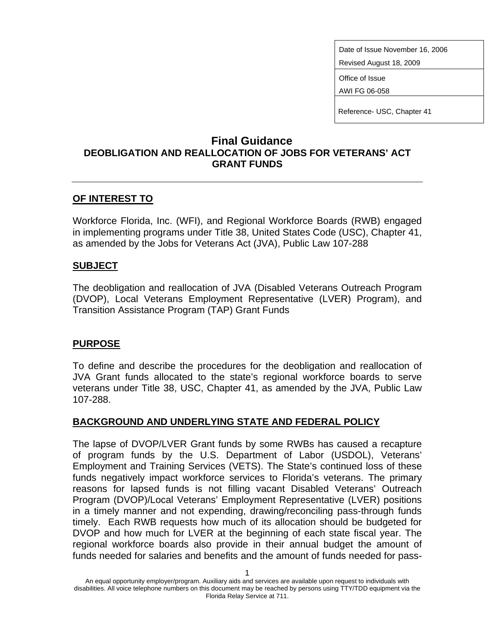Date of Issue November 16, 2006

Revised August 18, 2009

Office of Issue

AWI FG 06-058

Reference- USC, Chapter 41

## **Final Guidance DEOBLIGATION AND REALLOCATION OF JOBS FOR VETERANS' ACT GRANT FUNDS**

# **OF INTEREST TO**

Workforce Florida, Inc. (WFI), and Regional Workforce Boards (RWB) engaged in implementing programs under Title 38, United States Code (USC), Chapter 41, as amended by the Jobs for Veterans Act (JVA), Public Law 107-288

#### **SUBJECT**

The deobligation and reallocation of JVA (Disabled Veterans Outreach Program (DVOP), Local Veterans Employment Representative (LVER) Program), and Transition Assistance Program (TAP) Grant Funds

# **PURPOSE**

To define and describe the procedures for the deobligation and reallocation of JVA Grant funds allocated to the state's regional workforce boards to serve veterans under Title 38, USC, Chapter 41, as amended by the JVA, Public Law 107-288.

# **BACKGROUND AND UNDERLYING STATE AND FEDERAL POLICY**

The lapse of DVOP/LVER Grant funds by some RWBs has caused a recapture of program funds by the U.S. Department of Labor (USDOL), Veterans' Employment and Training Services (VETS). The State's continued loss of these funds negatively impact workforce services to Florida's veterans. The primary reasons for lapsed funds is not filling vacant Disabled Veterans' Outreach Program (DVOP)/Local Veterans' Employment Representative (LVER) positions in a timely manner and not expending, drawing/reconciling pass-through funds timely. Each RWB requests how much of its allocation should be budgeted for DVOP and how much for LVER at the beginning of each state fiscal year. The regional workforce boards also provide in their annual budget the amount of funds needed for salaries and benefits and the amount of funds needed for pass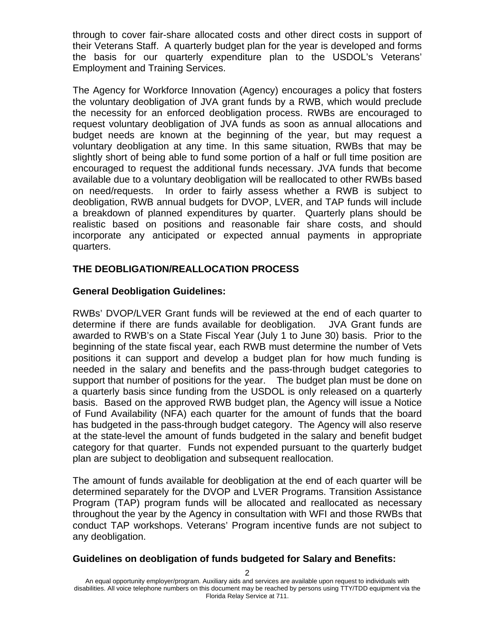through to cover fair-share allocated costs and other direct costs in support of their Veterans Staff. A quarterly budget plan for the year is developed and forms the basis for our quarterly expenditure plan to the USDOL's Veterans' Employment and Training Services.

The Agency for Workforce Innovation (Agency) encourages a policy that fosters the voluntary deobligation of JVA grant funds by a RWB, which would preclude the necessity for an enforced deobligation process. RWBs are encouraged to request voluntary deobligation of JVA funds as soon as annual allocations and budget needs are known at the beginning of the year, but may request a voluntary deobligation at any time. In this same situation, RWBs that may be slightly short of being able to fund some portion of a half or full time position are encouraged to request the additional funds necessary. JVA funds that become available due to a voluntary deobligation will be reallocated to other RWBs based on need/requests. In order to fairly assess whether a RWB is subject to deobligation, RWB annual budgets for DVOP, LVER, and TAP funds will include a breakdown of planned expenditures by quarter. Quarterly plans should be realistic based on positions and reasonable fair share costs, and should incorporate any anticipated or expected annual payments in appropriate quarters.

### **THE DEOBLIGATION/REALLOCATION PROCESS**

### **General Deobligation Guidelines:**

RWBs' DVOP/LVER Grant funds will be reviewed at the end of each quarter to determine if there are funds available for deobligation. JVA Grant funds are awarded to RWB's on a State Fiscal Year (July 1 to June 30) basis. Prior to the beginning of the state fiscal year, each RWB must determine the number of Vets positions it can support and develop a budget plan for how much funding is needed in the salary and benefits and the pass-through budget categories to support that number of positions for the year. The budget plan must be done on a quarterly basis since funding from the USDOL is only released on a quarterly basis. Based on the approved RWB budget plan, the Agency will issue a Notice of Fund Availability (NFA) each quarter for the amount of funds that the board has budgeted in the pass-through budget category. The Agency will also reserve at the state-level the amount of funds budgeted in the salary and benefit budget category for that quarter. Funds not expended pursuant to the quarterly budget plan are subject to deobligation and subsequent reallocation.

The amount of funds available for deobligation at the end of each quarter will be determined separately for the DVOP and LVER Programs. Transition Assistance Program (TAP) program funds will be allocated and reallocated as necessary throughout the year by the Agency in consultation with WFI and those RWBs that conduct TAP workshops. Veterans' Program incentive funds are not subject to any deobligation.

#### **Guidelines on deobligation of funds budgeted for Salary and Benefits:**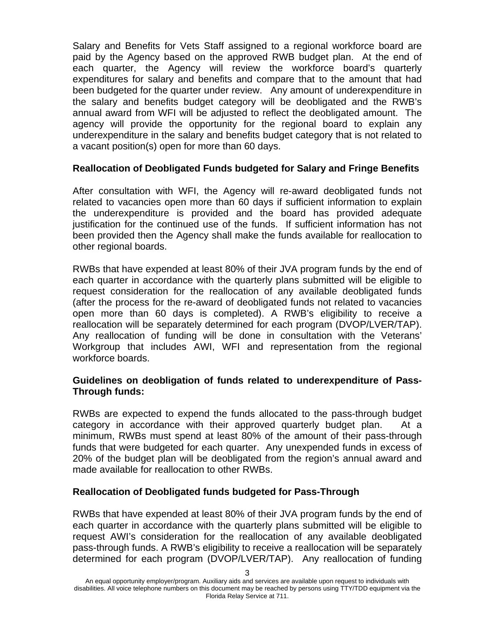Salary and Benefits for Vets Staff assigned to a regional workforce board are paid by the Agency based on the approved RWB budget plan. At the end of each quarter, the Agency will review the workforce board's quarterly expenditures for salary and benefits and compare that to the amount that had been budgeted for the quarter under review. Any amount of underexpenditure in the salary and benefits budget category will be deobligated and the RWB's annual award from WFI will be adjusted to reflect the deobligated amount. The agency will provide the opportunity for the regional board to explain any underexpenditure in the salary and benefits budget category that is not related to a vacant position(s) open for more than 60 days.

#### **Reallocation of Deobligated Funds budgeted for Salary and Fringe Benefits**

After consultation with WFI, the Agency will re-award deobligated funds not related to vacancies open more than 60 days if sufficient information to explain the underexpenditure is provided and the board has provided adequate justification for the continued use of the funds. If sufficient information has not been provided then the Agency shall make the funds available for reallocation to other regional boards.

RWBs that have expended at least 80% of their JVA program funds by the end of each quarter in accordance with the quarterly plans submitted will be eligible to request consideration for the reallocation of any available deobligated funds (after the process for the re-award of deobligated funds not related to vacancies open more than 60 days is completed). A RWB's eligibility to receive a reallocation will be separately determined for each program (DVOP/LVER/TAP). Any reallocation of funding will be done in consultation with the Veterans' Workgroup that includes AWI, WFI and representation from the regional workforce boards.

#### **Guidelines on deobligation of funds related to underexpenditure of Pass-Through funds:**

RWBs are expected to expend the funds allocated to the pass-through budget category in accordance with their approved quarterly budget plan. At a minimum, RWBs must spend at least 80% of the amount of their pass-through funds that were budgeted for each quarter. Any unexpended funds in excess of 20% of the budget plan will be deobligated from the region's annual award and made available for reallocation to other RWBs.

#### **Reallocation of Deobligated funds budgeted for Pass-Through**

RWBs that have expended at least 80% of their JVA program funds by the end of each quarter in accordance with the quarterly plans submitted will be eligible to request AWI's consideration for the reallocation of any available deobligated pass-through funds. A RWB's eligibility to receive a reallocation will be separately determined for each program (DVOP/LVER/TAP). Any reallocation of funding